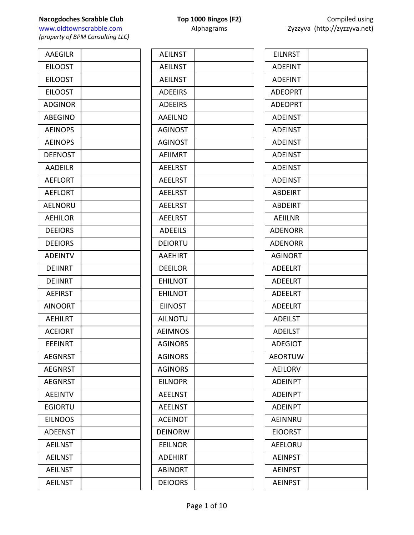| <b>AAEGILR</b> |  |
|----------------|--|
| <b>EILOOST</b> |  |
| <b>EILOOST</b> |  |
| <b>EILOOST</b> |  |
| <b>ADGINOR</b> |  |
| <b>ABEGINO</b> |  |
| <b>AEINOPS</b> |  |
| <b>AEINOPS</b> |  |
| <b>DEENOST</b> |  |
| <b>AADEILR</b> |  |
| <b>AEFLORT</b> |  |
| <b>AEFLORT</b> |  |
| <b>AELNORU</b> |  |
| <b>AEHILOR</b> |  |
| <b>DEEIORS</b> |  |
| <b>DEEIORS</b> |  |
| <b>ADEINTV</b> |  |
| <b>DEIINRT</b> |  |
| <b>DEIINRT</b> |  |
| <b>AEFIRST</b> |  |
| <b>AINOORT</b> |  |
| <b>AEHILRT</b> |  |
| <b>ACEIORT</b> |  |
| <b>EEEINRT</b> |  |
| <b>AEGNRST</b> |  |
| <b>AEGNRST</b> |  |
| <b>AEGNRST</b> |  |
| <b>AEEINTV</b> |  |
| <b>EGIORTU</b> |  |
| <b>EILNOOS</b> |  |
| <b>ADEENST</b> |  |
| <b>AEILNST</b> |  |
| <b>AEILNST</b> |  |
| <b>AEILNST</b> |  |
| <b>AEILNST</b> |  |

| <b>AEILNST</b> |  |
|----------------|--|
| <b>AEILNST</b> |  |
| <b>AEILNST</b> |  |
| <b>ADEEIRS</b> |  |
| <b>ADEEIRS</b> |  |
| <b>AAEILNO</b> |  |
| <b>AGINOST</b> |  |
| <b>AGINOST</b> |  |
| <b>AEIIMRT</b> |  |
| <b>AEELRST</b> |  |
| <b>AEELRST</b> |  |
| <b>AEELRST</b> |  |
| <b>AEELRST</b> |  |
| <b>AEELRST</b> |  |
| <b>ADEEILS</b> |  |
| <b>DEIORTU</b> |  |
| <b>AAEHIRT</b> |  |
| <b>DEEILOR</b> |  |
| <b>EHILNOT</b> |  |
| <b>EHILNOT</b> |  |
| <b>EIINOST</b> |  |
| <b>AILNOTU</b> |  |
| <b>AEIMNOS</b> |  |
| <b>AGINORS</b> |  |
| <b>AGINORS</b> |  |
| <b>AGINORS</b> |  |
| <b>EILNOPR</b> |  |
| <b>AEELNST</b> |  |
| <b>AEELNST</b> |  |
| <b>ACEINOT</b> |  |
| <b>DEINORW</b> |  |
| <b>EEILNOR</b> |  |
| <b>ADEHIRT</b> |  |
| <b>ABINORT</b> |  |
| <b>DEIOORS</b> |  |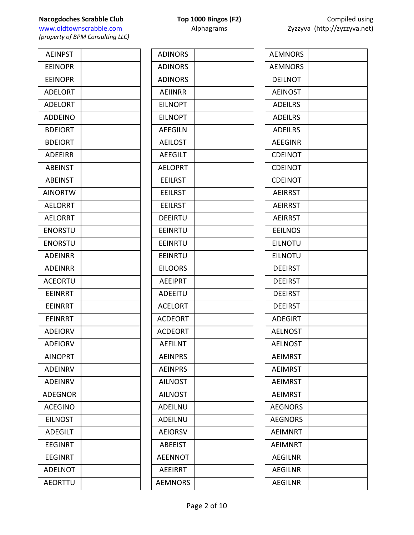| <b>AEINPST</b> |  |
|----------------|--|
| <b>EEINOPR</b> |  |
| <b>EEINOPR</b> |  |
| <b>ADELORT</b> |  |
| <b>ADELORT</b> |  |
| <b>ADDEINO</b> |  |
| <b>BDEIORT</b> |  |
| <b>BDEIORT</b> |  |
| <b>ADEEIRR</b> |  |
| <b>ABEINST</b> |  |
| <b>ABEINST</b> |  |
| <b>AINORTW</b> |  |
| <b>AELORRT</b> |  |
| <b>AELORRT</b> |  |
| <b>ENORSTU</b> |  |
| <b>ENORSTU</b> |  |
| <b>ADEINRR</b> |  |
| <b>ADEINRR</b> |  |
| <b>ACEORTU</b> |  |
| <b>EEINRRT</b> |  |
| <b>EEINRRT</b> |  |
| EEINRRT        |  |
| <b>ADEIORV</b> |  |
| <b>ADEIORV</b> |  |
| <b>AINOPRT</b> |  |
| <b>ADEINRV</b> |  |
| <b>ADEINRV</b> |  |
| <b>ADEGNOR</b> |  |
| <b>ACEGINO</b> |  |
| <b>EILNOST</b> |  |
| <b>ADEGILT</b> |  |
| <b>EEGINRT</b> |  |
| EEGINRT        |  |
| <b>ADELNOT</b> |  |
| <b>AEORTTU</b> |  |

| <b>ADINORS</b> |  |
|----------------|--|
| <b>ADINORS</b> |  |
| <b>ADINORS</b> |  |
| <b>AEIINRR</b> |  |
| <b>EILNOPT</b> |  |
| <b>EILNOPT</b> |  |
| <b>AEEGILN</b> |  |
| <b>AEILOST</b> |  |
| <b>AEEGILT</b> |  |
| <b>AELOPRT</b> |  |
| <b>EEILRST</b> |  |
| <b>EEILRST</b> |  |
| <b>EEILRST</b> |  |
| <b>DEEIRTU</b> |  |
| <b>EEINRTU</b> |  |
| <b>EEINRTU</b> |  |
| EEINRTU        |  |
| <b>EILOORS</b> |  |
| <b>AEEIPRT</b> |  |
| ADEEITU        |  |
| <b>ACELORT</b> |  |
| <b>ACDEORT</b> |  |
| <b>ACDEORT</b> |  |
| AEFILNT        |  |
| <b>AEINPRS</b> |  |
| <b>AEINPRS</b> |  |
| <b>AILNOST</b> |  |
| <b>AILNOST</b> |  |
| <b>ADEILNU</b> |  |
| <b>ADEILNU</b> |  |
| <b>AEIORSV</b> |  |
| <b>ABEEIST</b> |  |
| <b>AEENNOT</b> |  |
| AEEIRRT        |  |
| <b>AEMNORS</b> |  |

| <b>AEMNORS</b> |  |
|----------------|--|
| <b>AEMNORS</b> |  |
| <b>DEILNOT</b> |  |
| <b>AEINOST</b> |  |
| <b>ADEILRS</b> |  |
| <b>ADEILRS</b> |  |
| <b>ADEILRS</b> |  |
| <b>AEEGINR</b> |  |
| <b>CDEINOT</b> |  |
| <b>CDEINOT</b> |  |
| <b>CDEINOT</b> |  |
| <b>AEIRRST</b> |  |
| <b>AEIRRST</b> |  |
| <b>AEIRRST</b> |  |
| <b>EEILNOS</b> |  |
| <b>EILNOTU</b> |  |
| <b>EILNOTU</b> |  |
| <b>DEEIRST</b> |  |
| <b>DEEIRST</b> |  |
| <b>DEEIRST</b> |  |
| <b>DEEIRST</b> |  |
| <b>ADEGIRT</b> |  |
| <b>AELNOST</b> |  |
| <b>AELNOST</b> |  |
| <b>AEIMRST</b> |  |
| AEIMRST        |  |
| <b>AEIMRST</b> |  |
| <b>AEIMRST</b> |  |
| <b>AEGNORS</b> |  |
| <b>AEGNORS</b> |  |
| <b>AEIMNRT</b> |  |
| <b>AEIMNRT</b> |  |
| <b>AEGILNR</b> |  |
| <b>AEGILNR</b> |  |
| <b>AEGILNR</b> |  |
|                |  |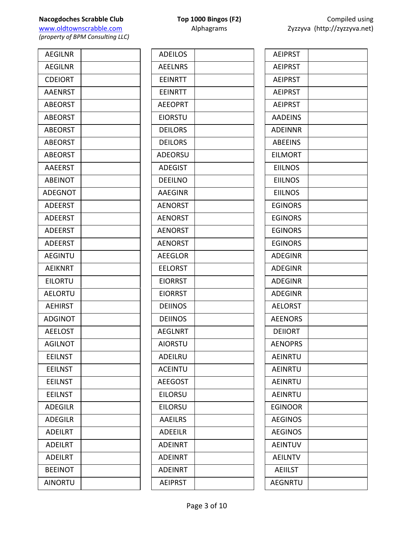| <b>AEGILNR</b> |  |
|----------------|--|
| <b>AEGILNR</b> |  |
| <b>CDEIORT</b> |  |
| <b>AAENRST</b> |  |
| <b>ABEORST</b> |  |
| <b>ABEORST</b> |  |
| <b>ABEORST</b> |  |
| <b>ABEORST</b> |  |
| <b>ABEORST</b> |  |
| <b>AAEERST</b> |  |
| <b>ABEINOT</b> |  |
| <b>ADEGNOT</b> |  |
| <b>ADEERST</b> |  |
| <b>ADEERST</b> |  |
| <b>ADEERST</b> |  |
| <b>ADEERST</b> |  |
| <b>AEGINTU</b> |  |
| <b>AEIKNRT</b> |  |
| <b>EILORTU</b> |  |
| <b>AELORTU</b> |  |
| <b>AEHIRST</b> |  |
| <b>ADGINOT</b> |  |
| <b>AEELOST</b> |  |
| <b>AGILNOT</b> |  |
| <b>EEILNST</b> |  |
| <b>EEILNST</b> |  |
| <b>EEILNST</b> |  |
| <b>EEILNST</b> |  |
| <b>ADEGILR</b> |  |
| <b>ADEGILR</b> |  |
| <b>ADEILRT</b> |  |
| <b>ADEILRT</b> |  |
| <b>ADEILRT</b> |  |
| <b>BEEINOT</b> |  |
| <b>AINORTU</b> |  |
|                |  |

| <b>ADEILOS</b> |  |
|----------------|--|
| <b>AEELNRS</b> |  |
| <b>EEINRTT</b> |  |
| <b>FFINRTT</b> |  |
| <b>AEEOPRT</b> |  |
| <b>EIORSTU</b> |  |
| <b>DEILORS</b> |  |
| <b>DEILORS</b> |  |
| <b>ADEORSU</b> |  |
| <b>ADEGIST</b> |  |
| <b>DEEILNO</b> |  |
| <b>AAEGINR</b> |  |
| <b>AENORST</b> |  |
| <b>AENORST</b> |  |
| <b>AENORST</b> |  |
| <b>AENORST</b> |  |
| <b>AEEGLOR</b> |  |
| EELORST        |  |
| <b>EIORRST</b> |  |
| <b>EIORRST</b> |  |
| <b>DEIINOS</b> |  |
| <b>DEIINOS</b> |  |
| <b>AEGLNRT</b> |  |
| <b>AIORSTU</b> |  |
| <b>ADEILRU</b> |  |
| <b>ACEINTU</b> |  |
| <b>AEEGOST</b> |  |
| <b>EILORSU</b> |  |
| <b>EILORSU</b> |  |
| <b>AAEILRS</b> |  |
| <b>ADEEILR</b> |  |
| <b>ADEINRT</b> |  |
| <b>ADEINRT</b> |  |
| ADEINRT        |  |
| <b>AEIPRST</b> |  |
|                |  |

| <b>AEIPRST</b> |  |
|----------------|--|
| <b>AEIPRST</b> |  |
| <b>AEIPRST</b> |  |
| <b>AEIPRST</b> |  |
| <b>AEIPRST</b> |  |
| <b>AADEINS</b> |  |
| <b>ADEINNR</b> |  |
| <b>ABEEINS</b> |  |
| <b>EILMORT</b> |  |
| <b>EIILNOS</b> |  |
| <b>EIILNOS</b> |  |
| <b>EIILNOS</b> |  |
| <b>EGINORS</b> |  |
| <b>EGINORS</b> |  |
| <b>EGINORS</b> |  |
| <b>EGINORS</b> |  |
| <b>ADEGINR</b> |  |
| <b>ADEGINR</b> |  |
| <b>ADEGINR</b> |  |
| <b>ADEGINR</b> |  |
| <b>AELORST</b> |  |
| <b>AEENORS</b> |  |
| <b>DEIIORT</b> |  |
| <b>AENOPRS</b> |  |
| <b>AEINRTU</b> |  |
| <b>AEINRTU</b> |  |
| <b>AEINRTU</b> |  |
| <b>AEINRTU</b> |  |
| EGINOOR        |  |
| <b>AEGINOS</b> |  |
| <b>AEGINOS</b> |  |
| <b>AEINTUV</b> |  |
| <b>AEILNTV</b> |  |
| <b>AEIILST</b> |  |
| <b>AEGNRTU</b> |  |
|                |  |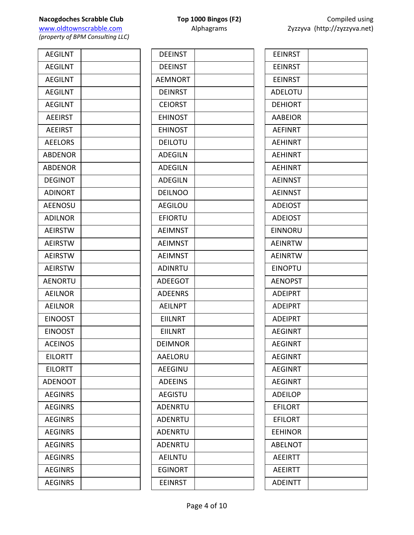www.oldtownscrabble.com Alphagrams Alphagrams Zyzzyva (http://zyzzyva.net) *(property of BPM Consulting LLC)*

AEGILNT AEGILNT **AEGILNT** AEGILNT AEGILNT **AEEIRST AEEIRST AEELORS** ABDENOR ABDENOR **DEGINOT ADINORT** AEENOSU ADILNOR **AEIRSTW AEIRSTW AEIRSTW AEIRSTW AENORTU AEILNOR AEILNOR EINOOST EINOOST ACEINOS EILORTT EILORTT ADENOOT AEGINRS AEGINRS AEGINRS AEGINRS AEGINRS AEGINRS AEGINRS** 

**AEGINRS** 

| <b>DEEINST</b> |  |
|----------------|--|
| <b>DEEINST</b> |  |
| <b>AEMNORT</b> |  |
| <b>DEINRST</b> |  |
| <b>CEIORST</b> |  |
| <b>EHINOST</b> |  |
| <b>EHINOST</b> |  |
| <b>DEILOTU</b> |  |
| <b>ADEGILN</b> |  |
| <b>ADEGILN</b> |  |
| <b>ADEGILN</b> |  |
| <b>DEILNOO</b> |  |
| <b>AEGILOU</b> |  |
| EFIORTU        |  |
| <b>AEIMNST</b> |  |
| <b>AEIMNST</b> |  |
| <b>AEIMNST</b> |  |
| <b>ADINRTU</b> |  |
| <b>ADEEGOT</b> |  |
| <b>ADEENRS</b> |  |
| <b>AEILNPT</b> |  |
| <b>EIILNRT</b> |  |
| <b>EIILNRT</b> |  |
| <b>DEIMNOR</b> |  |
| AAELORU        |  |
| <b>AEEGINU</b> |  |
| <b>ADEEINS</b> |  |
| <b>AEGISTU</b> |  |
| <b>ADENRTU</b> |  |
| ADENRTU        |  |
| ADENRTU        |  |
| ADENRTU        |  |
| AEILNTU        |  |
| <b>EGINORT</b> |  |
| <b>EEINRST</b> |  |

| <b>EEINRST</b> |  |
|----------------|--|
| <b>EEINRST</b> |  |
| <b>EEINRST</b> |  |
| <b>ADELOTU</b> |  |
| <b>DEHIORT</b> |  |
| <b>AABEIOR</b> |  |
| <b>AEFINRT</b> |  |
| <b>AEHINRT</b> |  |
| <b>AEHINRT</b> |  |
| <b>AEHINRT</b> |  |
| <b>AEINNST</b> |  |
| <b>AEINNST</b> |  |
| <b>ADEIOST</b> |  |
| <b>ADEIOST</b> |  |
| <b>EINNORU</b> |  |
| <b>AEINRTW</b> |  |
| <b>AEINRTW</b> |  |
| <b>EINOPTU</b> |  |
| <b>AENOPST</b> |  |
| <b>ADEIPRT</b> |  |
| <b>ADEIPRT</b> |  |
| <b>ADEIPRT</b> |  |
| <b>AEGINRT</b> |  |
| AEGINRT        |  |
| <b>AEGINRT</b> |  |
| <b>AEGINRT</b> |  |
| <b>AEGINRT</b> |  |
| <b>ADEILOP</b> |  |
| <b>EFILORT</b> |  |
| <b>EFILORT</b> |  |
| <b>EEHINOR</b> |  |
| <b>ABELNOT</b> |  |
|                |  |

**AEEIRTT AEEIRTT ADEINTT**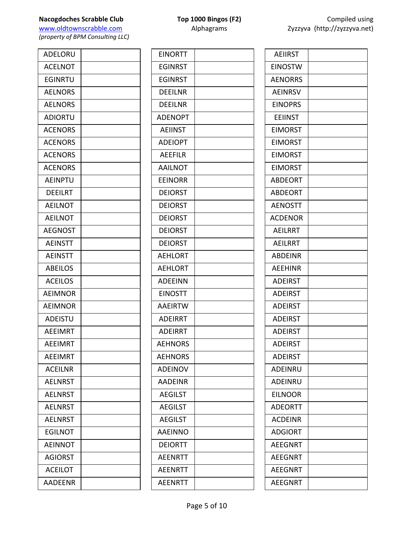# **Nacogdoches Scrabble Club Top 1000** Bingos (F2)

www.oldtownscrabble.com Alphagrams Z

*(property of BPM Consulting LLC)*

| ADELORU        |  |
|----------------|--|
| <b>ACELNOT</b> |  |
| <b>EGINRTU</b> |  |
| <b>AELNORS</b> |  |
| <b>AELNORS</b> |  |
| <b>ADIORTU</b> |  |
| <b>ACENORS</b> |  |
| <b>ACENORS</b> |  |
| <b>ACENORS</b> |  |
| <b>ACENORS</b> |  |
| <b>AEINPTU</b> |  |
| <b>DEEILRT</b> |  |
| <b>AEILNOT</b> |  |
| <b>AEILNOT</b> |  |
| <b>AEGNOST</b> |  |
| <b>AEINSTT</b> |  |
| <b>AEINSTT</b> |  |
| <b>ABEILOS</b> |  |
| <b>ACEILOS</b> |  |
| <b>AEIMNOR</b> |  |
| <b>AEIMNOR</b> |  |
| ADEISTU        |  |
| <b>AEEIMRT</b> |  |
| <b>AEEIMRT</b> |  |
| <b>AEEIMRT</b> |  |
| <b>ACEILNR</b> |  |
| <b>AELNRST</b> |  |
| <b>AELNRST</b> |  |
| <b>AELNRST</b> |  |
| <b>AELNRST</b> |  |
| <b>EGILNOT</b> |  |
| <b>AEINNOT</b> |  |
| <b>AGIORST</b> |  |
| <b>ACEILOT</b> |  |
| <b>AADEENR</b> |  |

| <b>EINORTT</b> |  |
|----------------|--|
| EGINRST        |  |
| <b>EGINRST</b> |  |
| <b>DEEILNR</b> |  |
| <b>DEEILNR</b> |  |
| <b>ADENOPT</b> |  |
| <b>AEIINST</b> |  |
| <b>ADEIOPT</b> |  |
| <b>AEEFILR</b> |  |
| <b>AAILNOT</b> |  |
| <b>EEINORR</b> |  |
| <b>DEIORST</b> |  |
| <b>DEIORST</b> |  |
| <b>DEIORST</b> |  |
| <b>DEIORST</b> |  |
| <b>DEIORST</b> |  |
| <b>AEHLORT</b> |  |
| <b>AEHLORT</b> |  |
| <b>ADEEINN</b> |  |
| <b>EINOSTT</b> |  |
| <b>AAEIRTW</b> |  |
| <b>ADEIRRT</b> |  |
| <b>ADEIRRT</b> |  |
| AEHNORS        |  |
| <b>AEHNORS</b> |  |
| <b>ADEINOV</b> |  |
| <b>AADEINR</b> |  |
| <b>AEGILST</b> |  |
| <b>AEGILST</b> |  |
| <b>AEGILST</b> |  |
| <b>AAEINNO</b> |  |
| DEIORTT        |  |
| <b>AEENRTT</b> |  |
| <b>AEENRTT</b> |  |
| <b>AEENRTT</b> |  |
|                |  |

|                | Compiled using<br>Zyzzyva (http://zyzzyva.net) |  |
|----------------|------------------------------------------------|--|
| AEIIRST        |                                                |  |
| <b>EINOSTW</b> |                                                |  |
| <b>AENORRS</b> |                                                |  |
| AEINRSV        |                                                |  |
| <b>EINOPRS</b> |                                                |  |
| EEIINST        |                                                |  |
| <b>EIMORST</b> |                                                |  |
| EIMORST        |                                                |  |
| <b>EIMORST</b> |                                                |  |
| EIMORST        |                                                |  |
| ABDEORT        |                                                |  |
| ABDEORT        |                                                |  |

|  | <b>ADEIRST</b> |  |
|--|----------------|--|
|  | <b>ADEIRST</b> |  |
|  | ADEIRST        |  |
|  | <b>ADEIRST</b> |  |
|  | ADEIRST        |  |
|  | ADEINRU        |  |
|  | <b>ADEINRU</b> |  |
|  | <b>EILNOOR</b> |  |
|  | <b>ADEORTT</b> |  |
|  | <b>ACDEINR</b> |  |
|  | <b>ADGIORT</b> |  |
|  | <b>AEEGNRT</b> |  |
|  | <b>AEEGNRT</b> |  |
|  | <b>AEEGNRT</b> |  |
|  | <b>AEEGNRT</b> |  |
|  |                |  |
|  |                |  |

AENOSTT **ACDENOR** AEILRRT AEILRRT ABDEINR AEEHINR ADEIRST ADEIRST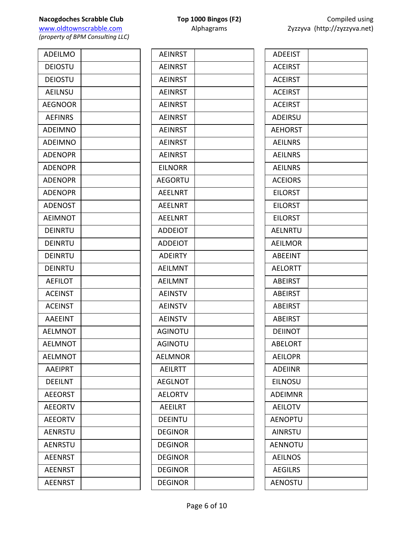**Nacogdoches Scrabble Club Top 1000 Bingos (F2)** Compiled using<br>
Www.oldtownscrabble.com **Alphagrams** 2yzzyva (http://zyzzyva.net)

*(property of BPM Consulting LLC)*

| <b>ADEILMO</b> |  |
|----------------|--|
| <b>DEIOSTU</b> |  |
| <b>DEIOSTU</b> |  |
| <b>AEILNSU</b> |  |
| <b>AEGNOOR</b> |  |
| <b>AEFINRS</b> |  |
| <b>ADEIMNO</b> |  |
| <b>ADEIMNO</b> |  |
| <b>ADENOPR</b> |  |
| <b>ADENOPR</b> |  |
| <b>ADENOPR</b> |  |
| <b>ADENOPR</b> |  |
| <b>ADENOST</b> |  |
| <b>AEIMNOT</b> |  |
| DEINRTU        |  |
| <b>DEINRTU</b> |  |
| DEINRTU        |  |
| DEINRTU        |  |
| <b>AEFILOT</b> |  |
| <b>ACEINST</b> |  |
| <b>ACEINST</b> |  |
| <b>AAEEINT</b> |  |
| <b>AELMNOT</b> |  |
| <b>AELMNOT</b> |  |
| <b>AELMNOT</b> |  |
| <b>AAEIPRT</b> |  |
| <b>DEEILNT</b> |  |
| <b>AEEORST</b> |  |
| <b>AEEORTV</b> |  |
| <b>AEEORTV</b> |  |
| <b>AENRSTU</b> |  |
| <b>AENRSTU</b> |  |
| <b>AEENRST</b> |  |
| <b>AEENRST</b> |  |
| <b>AEENRST</b> |  |

| <b>AEINRST</b> |  |
|----------------|--|
| <b>AEINRST</b> |  |
| <b>AEINRST</b> |  |
| <b>AEINRST</b> |  |
| <b>AEINRST</b> |  |
| <b>AEINRST</b> |  |
| <b>AEINRST</b> |  |
| <b>AEINRST</b> |  |
| <b>AEINRST</b> |  |
| EILNORR        |  |
| <b>AEGORTU</b> |  |
| <b>AEELNRT</b> |  |
| <b>AEELNRT</b> |  |
| <b>AEELNRT</b> |  |
| <b>ADDEIOT</b> |  |
| <b>ADDEIOT</b> |  |
| <b>ADEIRTY</b> |  |
| <b>AEILMNT</b> |  |
| <b>AEILMNT</b> |  |
| <b>AEINSTV</b> |  |
| <b>AEINSTV</b> |  |
| <b>AEINSTV</b> |  |
| AGINOTU        |  |
| AGINOTU        |  |
| AELMNOR        |  |
| <b>AEILRTT</b> |  |
| <b>AEGLNOT</b> |  |
| <b>AELORTV</b> |  |
| <b>AEEILRT</b> |  |
| <b>DEEINTU</b> |  |
| <b>DEGINOR</b> |  |
| DEGINOR        |  |
| <b>DEGINOR</b> |  |
| <b>DEGINOR</b> |  |
| <b>DEGINOR</b> |  |
|                |  |

| <b>ADEEIST</b> |  |
|----------------|--|
| <b>ACEIRST</b> |  |
| <b>ACEIRST</b> |  |
| <b>ACEIRST</b> |  |
| <b>ACEIRST</b> |  |
| <b>ADEIRSU</b> |  |
| <b>AEHORST</b> |  |
| <b>AEILNRS</b> |  |
| <b>AEILNRS</b> |  |
| <b>AEILNRS</b> |  |
| <b>ACEIORS</b> |  |
| <b>EILORST</b> |  |
| <b>EILORST</b> |  |
| <b>EILORST</b> |  |
| <b>AELNRTU</b> |  |
| <b>AEILMOR</b> |  |
| <b>ABEEINT</b> |  |
| <b>AELORTT</b> |  |
| <b>ABEIRST</b> |  |
| <b>ABEIRST</b> |  |
| <b>ABEIRST</b> |  |
| <b>ABEIRST</b> |  |
| <b>DEIINOT</b> |  |
| ABELORT        |  |
| <b>AEILOPR</b> |  |
| <b>ADEIINR</b> |  |
| <b>EILNOSU</b> |  |
| <b>ADEIMNR</b> |  |
| <b>AEILOTV</b> |  |
| <b>AENOPTU</b> |  |
| <b>AINRSTU</b> |  |
| AENNOTU        |  |
| <b>AEILNOS</b> |  |
| <b>AEGILRS</b> |  |
| AENOSTU        |  |
|                |  |

Zyzzyva (http://zyzzyva.net)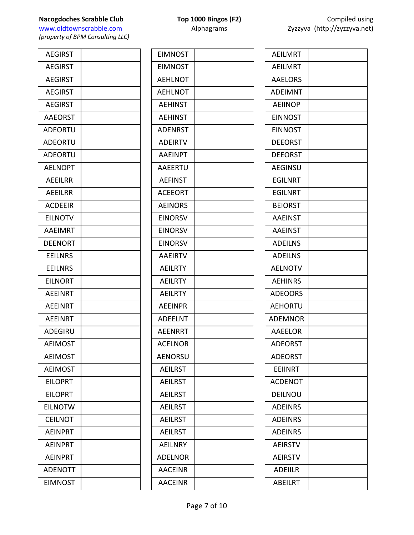## **Nacogdoches Scrabble Club Top 1000 Bingos (F2)** Compiled using

www.oldtownscrabble.com Alphagrams Alphagrams Zy *(property of BPM Consulting LLC)*

**AEGIRST** AEGIRST **AEGIRST AEGIRST AEGIRST** AAEORST **ADEORTU ADEORTU ADEORTU AELNOPT AEEILRR** AEEILRR ACDEEIR **EILNOTV** AAEIMRT DEENORT EEILNRS EEILNRS EILNORT **AEEINRT AEEINRT AEEINRT ADEGIRU AEIMOST AEIMOST AEIMOST EILOPRT EILOPRT EILNOTW CEILNOT AEINPRT AEINPRT AEINPRT ADENOTT** EIMNOST

| <b>EIMNOST</b> |  |
|----------------|--|
| <b>EIMNOST</b> |  |
| <b>AEHLNOT</b> |  |
| <b>AEHLNOT</b> |  |
| <b>AEHINST</b> |  |
| <b>AEHINST</b> |  |
| <b>ADENRST</b> |  |
| <b>ADEIRTV</b> |  |
| <b>AAEINPT</b> |  |
| AAEERTU        |  |
| <b>AEFINST</b> |  |
| <b>ACEEORT</b> |  |
| <b>AEINORS</b> |  |
| <b>EINORSV</b> |  |
| <b>EINORSV</b> |  |
| <b>EINORSV</b> |  |
| <b>AAEIRTV</b> |  |
| <b>AEILRTY</b> |  |
| <b>AEILRTY</b> |  |
| <b>AEILRTY</b> |  |
| <b>AEEINPR</b> |  |
| <b>ADEELNT</b> |  |
| <b>AEENRRT</b> |  |
| ACELNOR        |  |
| <b>AENORSU</b> |  |
| <b>AEILRST</b> |  |
| <b>AEILRST</b> |  |
| <b>AEILRST</b> |  |
| <b>AEILRST</b> |  |
| <b>AEILRST</b> |  |
| <b>AEILRST</b> |  |
| <b>AEILNRY</b> |  |
| <b>ADELNOR</b> |  |
| <b>AACEINR</b> |  |
| <b>AACEINR</b> |  |
|                |  |

|     | COMPRO USING<br>yzzyva (http://zyzzyva.net) |  |
|-----|---------------------------------------------|--|
| IR⊤ |                                             |  |
| IRT |                                             |  |

| <b>AEILMRT</b> |  |
|----------------|--|
| <b>AEILMRT</b> |  |
| <b>AAELORS</b> |  |
| <b>ADEIMNT</b> |  |
| <b>AEIINOP</b> |  |
| <b>EINNOST</b> |  |
| <b>EINNOST</b> |  |
| <b>DEEORST</b> |  |
| <b>DEEORST</b> |  |
| <b>AEGINSU</b> |  |
| <b>EGILNRT</b> |  |
| <b>EGILNRT</b> |  |
| <b>BEIORST</b> |  |
| <b>AAEINST</b> |  |
| <b>AAEINST</b> |  |
| <b>ADEILNS</b> |  |
| <b>ADEILNS</b> |  |
| <b>AELNOTV</b> |  |
| <b>AEHINRS</b> |  |
| <b>ADEOORS</b> |  |
| <b>AEHORTU</b> |  |
| ADEMNOR        |  |
| <b>AAEELOR</b> |  |
| <b>ADEORST</b> |  |
| <b>ADEORST</b> |  |
| EEIINRT        |  |
| <b>ACDENOT</b> |  |
| DEILNOU        |  |
| <b>ADEINRS</b> |  |
| <b>ADEINRS</b> |  |
| <b>ADEINRS</b> |  |
| <b>AEIRSTV</b> |  |
| <b>AEIRSTV</b> |  |
| ADEIILR        |  |
| <b>ABEILRT</b> |  |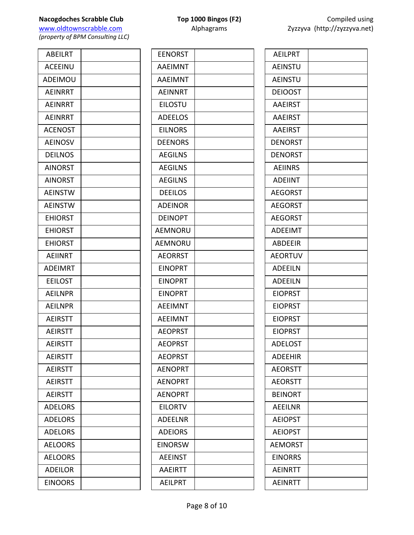**Nacogdoches Scrabble Club Top 1000 Bingos (F2) COMPILE USING USING USING USING USING USING USING USING USING USING USING USING USING USING USING USING USING USING USING USING USING USING USING USING USING USING USING** www.oldtownscrabble.com

| <b>EENORST</b> |  |
|----------------|--|
| AAEIMNT        |  |
| <b>AAEIMNT</b> |  |
| <b>AEINNRT</b> |  |
| <b>EILOSTU</b> |  |
| <b>ADEELOS</b> |  |
| <b>EILNORS</b> |  |
| <b>DEENORS</b> |  |
| <b>AEGILNS</b> |  |
| <b>AEGILNS</b> |  |
| <b>AEGILNS</b> |  |
| <b>DEEILOS</b> |  |
| <b>ADEINOR</b> |  |
| <b>DEINOPT</b> |  |
| AEMNORU        |  |
| AEMNORU        |  |
| <b>AEORRST</b> |  |
| <b>EINOPRT</b> |  |
| <b>EINOPRT</b> |  |
| <b>EINOPRT</b> |  |
| <b>AEEIMNT</b> |  |
| <b>AEEIMNT</b> |  |
| <b>AEOPRST</b> |  |
| <b>AEOPRST</b> |  |
| <b>AEOPRST</b> |  |
| <b>AENOPRT</b> |  |
| <b>AENOPRT</b> |  |
| <b>AENOPRT</b> |  |
| <b>EILORTV</b> |  |
| <b>ADEELNR</b> |  |
| <b>ADEIORS</b> |  |
| <b>EINORSW</b> |  |
| <b>AEEINST</b> |  |
| <b>AAEIRTT</b> |  |
| <b>AEILPRT</b> |  |
|                |  |

| Compiled using               |
|------------------------------|
| Zyzzyva (http://zyzzyva.net) |

| <b>AEILPRT</b> |  |
|----------------|--|
| <b>AEINSTU</b> |  |
| <b>AEINSTU</b> |  |
| <b>DEIOOST</b> |  |
| <b>AAEIRST</b> |  |
| <b>AAEIRST</b> |  |
| <b>AAEIRST</b> |  |
| <b>DENORST</b> |  |
| <b>DENORST</b> |  |
| <b>AEIINRS</b> |  |
| <b>ADEIINT</b> |  |
| <b>AEGORST</b> |  |
| <b>AEGORST</b> |  |
| <b>AEGORST</b> |  |
| <b>ADEEIMT</b> |  |
| <b>ABDEEIR</b> |  |
| <b>AEORTUV</b> |  |
| <b>ADEEILN</b> |  |
| <b>ADEEILN</b> |  |
| <b>EIOPRST</b> |  |
| <b>EIOPRST</b> |  |
| <b>EIOPRST</b> |  |
| <b>EIOPRST</b> |  |
| ADELOST        |  |
| <b>ADEEHIR</b> |  |
| <b>AEORSTT</b> |  |
| <b>AEORSTT</b> |  |
| <b>BEINORT</b> |  |
| <b>AEEILNR</b> |  |
| <b>AEIOPST</b> |  |
| <b>AEIOPST</b> |  |
| AEMORST        |  |
| <b>EINORRS</b> |  |
| <b>AEINRTT</b> |  |
| <b>AEINRTT</b> |  |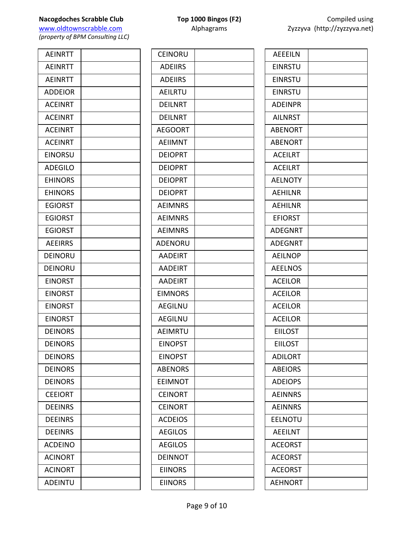**Nacogdoches Scrabble Club Top 1000 Bingos (F2) COMPILE USING USING USING USING USING USING USING USING USING USING USING USING USING USING USING USING USING USING USING USING USING USING USING USING USING USING USING** www.oldtownscrabble.com

| <b>AEINRTT</b> |  |
|----------------|--|
| <b>AEINRTT</b> |  |
| <b>AEINRTT</b> |  |
| <b>ADDEIOR</b> |  |
| <b>ACEINRT</b> |  |
| <b>ACEINRT</b> |  |
| <b>ACEINRT</b> |  |
| <b>ACEINRT</b> |  |
| <b>EINORSU</b> |  |
| <b>ADEGILO</b> |  |
| <b>EHINORS</b> |  |
| <b>EHINORS</b> |  |
| <b>EGIORST</b> |  |
| <b>EGIORST</b> |  |
| <b>EGIORST</b> |  |
| <b>AEEIRRS</b> |  |
| DEINORU        |  |
| DEINORU        |  |
| <b>EINORST</b> |  |
| <b>EINORST</b> |  |
| <b>EINORST</b> |  |
| <b>EINORST</b> |  |
| <b>DEINORS</b> |  |
| <b>DEINORS</b> |  |
| <b>DEINORS</b> |  |
| <b>DEINORS</b> |  |
| <b>DEINORS</b> |  |
| <b>CEEIORT</b> |  |
| <b>DEEINRS</b> |  |
| <b>DEEINRS</b> |  |
| <b>DEEINRS</b> |  |
| <b>ACDEINO</b> |  |
| <b>ACINORT</b> |  |
| <b>ACINORT</b> |  |
| <b>ADEINTU</b> |  |

| <b>CEINORU</b> |  |
|----------------|--|
| <b>ADEIIRS</b> |  |
| <b>ADEIIRS</b> |  |
| AEILRTU        |  |
| <b>DEILNRT</b> |  |
| <b>DEILNRT</b> |  |
| <b>AEGOORT</b> |  |
| AEIIMNT        |  |
| <b>DEIOPRT</b> |  |
| <b>DEIOPRT</b> |  |
| <b>DEIOPRT</b> |  |
| <b>DEIOPRT</b> |  |
| <b>AEIMNRS</b> |  |
| <b>AEIMNRS</b> |  |
| <b>AEIMNRS</b> |  |
| ADENORU        |  |
| <b>AADEIRT</b> |  |
| <b>AADEIRT</b> |  |
| <b>AADEIRT</b> |  |
| <b>EIMNORS</b> |  |
| <b>AEGILNU</b> |  |
| <b>AEGILNU</b> |  |
| <b>AEIMRTU</b> |  |
| <b>EINOPST</b> |  |
| <b>EINOPST</b> |  |
| <b>ABENORS</b> |  |
| <b>EEIMNOT</b> |  |
| <b>CEINORT</b> |  |
| <b>CEINORT</b> |  |
| <b>ACDEIOS</b> |  |
| <b>AEGILOS</b> |  |
| <b>AEGILOS</b> |  |
| DEINNOT        |  |
| <b>EIINORS</b> |  |
| <b>EIINORS</b> |  |
|                |  |

|                | Compiled using<br>Zyzzyva (http://zyzzyva.net) |  |
|----------------|------------------------------------------------|--|
| <b>AFFFILN</b> |                                                |  |
| <b>FINRSTU</b> |                                                |  |
| EINRSTU        |                                                |  |
| <b>FINRSTU</b> |                                                |  |
| <b>ADFINPR</b> |                                                |  |

| <b>EINRSTU</b> |  |
|----------------|--|
| <b>EINRSTU</b> |  |
| <b>EINRSTU</b> |  |
| <b>ADEINPR</b> |  |
| <b>AILNRST</b> |  |
| <b>ABENORT</b> |  |
| <b>ABENORT</b> |  |
| <b>ACEILRT</b> |  |
| <b>ACEILRT</b> |  |
| <b>AELNOTY</b> |  |
| AEHILNR        |  |
| <b>AEHILNR</b> |  |
| <b>EFIORST</b> |  |
| <b>ADEGNRT</b> |  |
| <b>ADEGNRT</b> |  |
| <b>AEILNOP</b> |  |
| <b>AEELNOS</b> |  |
| <b>ACEILOR</b> |  |
| <b>ACEILOR</b> |  |
| <b>ACEILOR</b> |  |
| <b>ACEILOR</b> |  |
| <b>EIILOST</b> |  |
| <b>EIILOST</b> |  |
| <b>ADILORT</b> |  |
| <b>ABEIORS</b> |  |
| <b>ADEIOPS</b> |  |
| <b>AEINNRS</b> |  |
| <b>AEINNRS</b> |  |
| EELNOTU        |  |
| <b>AEEILNT</b> |  |
| <b>ACEORST</b> |  |
| <b>ACEORST</b> |  |
| <b>ACEORST</b> |  |
| <b>AEHNORT</b> |  |